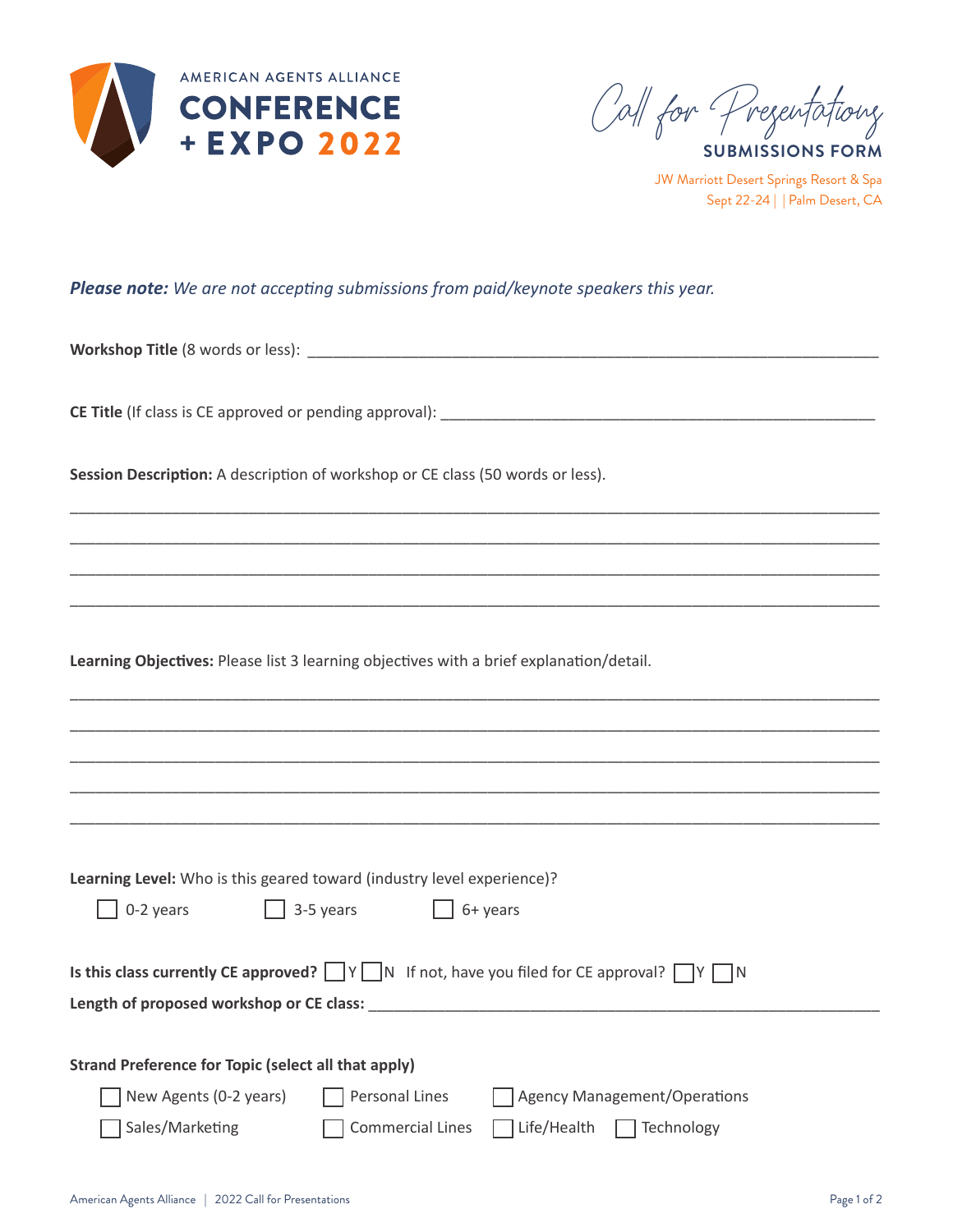

**SUBMISSIONS FORM** Call for Pregentations

JW Marriott Desert Springs Resort & Spa Sept 22-24 | | Palm Desert, CA

## *Please note: We are not accepting submissions from paid/keynote speakers this year.*

**Workshop Title** (8 words or less): \_\_\_\_\_\_\_\_\_\_\_\_\_\_\_\_\_\_\_\_\_\_\_\_\_\_\_\_\_\_\_\_\_\_\_\_\_\_\_\_\_\_\_\_\_\_\_\_\_\_\_\_\_\_\_\_\_\_\_\_\_\_\_\_\_\_\_

**CE Title** (If class is CE approved or pending approval): \_\_\_\_\_\_\_\_\_\_\_\_\_\_\_\_\_\_\_\_\_\_\_\_\_\_\_\_\_\_\_\_\_\_\_\_\_\_\_\_\_\_\_\_\_\_\_\_\_\_\_

Session Description: A description of workshop or CE class (50 words or less).

**Learning Objectives:** Please list 3 learning objectives with a brief explanation/detail.

| Learning Level: Who is this geared toward (industry level experience)?                                                                                                                                                         |  |  |  |  |  |  |
|--------------------------------------------------------------------------------------------------------------------------------------------------------------------------------------------------------------------------------|--|--|--|--|--|--|
| 0-2 years $\Box$ 3-5 years $\Box$ 6+ years                                                                                                                                                                                     |  |  |  |  |  |  |
| Is this class currently CE approved? $\Box Y \Box N$ If not, have you filed for CE approval? $\Box Y \Box N$                                                                                                                   |  |  |  |  |  |  |
| Length of proposed workshop or CE class: North and the state of the state of the state of the state of the state of the state of the state of the state of the state of the state of the state of the state of the state of th |  |  |  |  |  |  |
|                                                                                                                                                                                                                                |  |  |  |  |  |  |
| <b>Strand Preference for Topic (select all that apply)</b>                                                                                                                                                                     |  |  |  |  |  |  |
| New Agents (0-2 years) Personal Lines<br>Agency Management/Operations                                                                                                                                                          |  |  |  |  |  |  |
| <b>Commercial Lines</b><br>Life/Health<br>$\Box$ Technology<br>Sales/Marketing                                                                                                                                                 |  |  |  |  |  |  |

\_\_\_\_\_\_\_\_\_\_\_\_\_\_\_\_\_\_\_\_\_\_\_\_\_\_\_\_\_\_\_\_\_\_\_\_\_\_\_\_\_\_\_\_\_\_\_\_\_\_\_\_\_\_\_\_\_\_\_\_\_\_\_\_\_\_\_\_\_\_\_\_\_\_\_\_\_\_\_\_\_\_\_\_\_\_\_\_\_\_\_\_\_\_\_ \_\_\_\_\_\_\_\_\_\_\_\_\_\_\_\_\_\_\_\_\_\_\_\_\_\_\_\_\_\_\_\_\_\_\_\_\_\_\_\_\_\_\_\_\_\_\_\_\_\_\_\_\_\_\_\_\_\_\_\_\_\_\_\_\_\_\_\_\_\_\_\_\_\_\_\_\_\_\_\_\_\_\_\_\_\_\_\_\_\_\_\_\_\_\_ \_\_\_\_\_\_\_\_\_\_\_\_\_\_\_\_\_\_\_\_\_\_\_\_\_\_\_\_\_\_\_\_\_\_\_\_\_\_\_\_\_\_\_\_\_\_\_\_\_\_\_\_\_\_\_\_\_\_\_\_\_\_\_\_\_\_\_\_\_\_\_\_\_\_\_\_\_\_\_\_\_\_\_\_\_\_\_\_\_\_\_\_\_\_\_ \_\_\_\_\_\_\_\_\_\_\_\_\_\_\_\_\_\_\_\_\_\_\_\_\_\_\_\_\_\_\_\_\_\_\_\_\_\_\_\_\_\_\_\_\_\_\_\_\_\_\_\_\_\_\_\_\_\_\_\_\_\_\_\_\_\_\_\_\_\_\_\_\_\_\_\_\_\_\_\_\_\_\_\_\_\_\_\_\_\_\_\_\_\_\_

\_\_\_\_\_\_\_\_\_\_\_\_\_\_\_\_\_\_\_\_\_\_\_\_\_\_\_\_\_\_\_\_\_\_\_\_\_\_\_\_\_\_\_\_\_\_\_\_\_\_\_\_\_\_\_\_\_\_\_\_\_\_\_\_\_\_\_\_\_\_\_\_\_\_\_\_\_\_\_\_\_\_\_\_\_\_\_\_\_\_\_\_\_\_\_